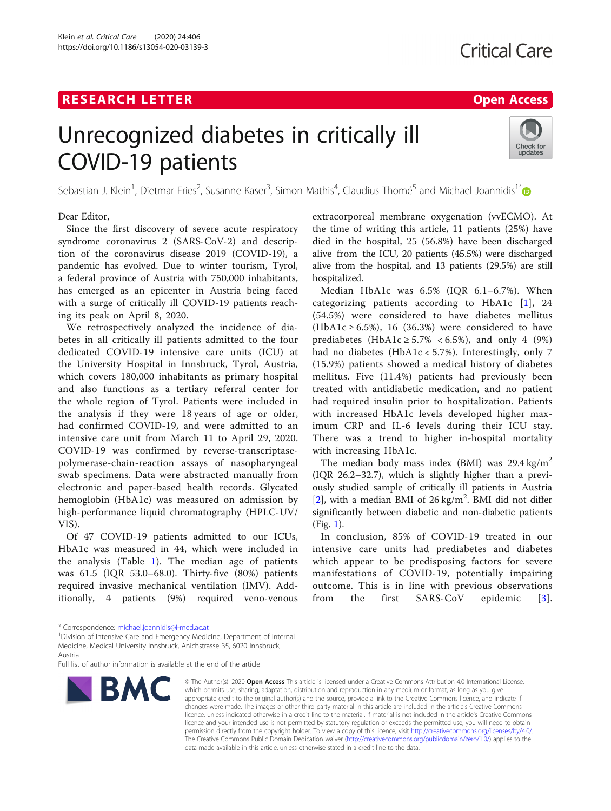Klein et al. Critical Care (2020) 24:406 https://doi.org/10.1186/s13054-020-03139-3

# Unrecognized diabetes in critically ill COVID-19 patients



Sebastian J. Klein<sup>1</sup>, Dietmar Fries<sup>2</sup>, Susanne Kaser<sup>3</sup>, Simon Mathis<sup>4</sup>, Claudius Thomé<sup>5</sup> and Michael Joannidis<sup>1\*</sup>

Dear Editor,

Since the first discovery of severe acute respiratory syndrome coronavirus 2 (SARS-CoV-2) and description of the coronavirus disease 2019 (COVID-19), a pandemic has evolved. Due to winter tourism, Tyrol, a federal province of Austria with 750,000 inhabitants, has emerged as an epicenter in Austria being faced with a surge of critically ill COVID-19 patients reaching its peak on April 8, 2020.

We retrospectively analyzed the incidence of diabetes in all critically ill patients admitted to the four dedicated COVID-19 intensive care units (ICU) at the University Hospital in Innsbruck, Tyrol, Austria, which covers 180,000 inhabitants as primary hospital and also functions as a tertiary referral center for the whole region of Tyrol. Patients were included in the analysis if they were 18 years of age or older, had confirmed COVID-19, and were admitted to an intensive care unit from March 11 to April 29, 2020. COVID-19 was confirmed by reverse-transcriptasepolymerase-chain-reaction assays of nasopharyngeal swab specimens. Data were abstracted manually from electronic and paper-based health records. Glycated hemoglobin (HbA1c) was measured on admission by high-performance liquid chromatography (HPLC-UV/ VIS).

Of 47 COVID-19 patients admitted to our ICUs, HbA1c was measured in 44, which were included in the analysis (Table [1](#page-1-0)). The median age of patients was 61.5 (IQR 53.0–68.0). Thirty-five (80%) patients required invasive mechanical ventilation (IMV). Additionally, 4 patients (9%) required veno-venous extracorporeal membrane oxygenation (vvECMO). At the time of writing this article, 11 patients (25%) have died in the hospital, 25 (56.8%) have been discharged alive from the ICU, 20 patients (45.5%) were discharged alive from the hospital, and 13 patients (29.5%) are still hospitalized.

Median HbA1c was 6.5% (IQR 6.1–6.7%). When categorizing patients according to HbA1c [\[1\]](#page-2-0), 24 (54.5%) were considered to have diabetes mellitus (HbA1c  $\geq$  6.5%), 16 (36.3%) were considered to have prediabetes (HbA1c  $\geq 5.7\% < 6.5\%$ ), and only 4 (9%) had no diabetes (HbA1c < 5.7%). Interestingly, only 7 (15.9%) patients showed a medical history of diabetes mellitus. Five (11.4%) patients had previously been treated with antidiabetic medication, and no patient had required insulin prior to hospitalization. Patients with increased HbA1c levels developed higher maximum CRP and IL-6 levels during their ICU stay. There was a trend to higher in-hospital mortality with increasing HbA1c.

The median body mass index (BMI) was  $29.4 \text{ kg/m}^2$ (IQR 26.2–32.7), which is slightly higher than a previously studied sample of critically ill patients in Austria [[2\]](#page-2-0), with a median BMI of  $26 \text{ kg/m}^2$ . BMI did not differ significantly between diabetic and non-diabetic patients (Fig. [1](#page-2-0)).

In conclusion, 85% of COVID-19 treated in our intensive care units had prediabetes and diabetes which appear to be predisposing factors for severe manifestations of COVID-19, potentially impairing outcome. This is in line with previous observations from the first SARS-CoV epidemic [[3](#page-2-0)].

Full list of author information is available at the end of the article



<sup>©</sup> The Author(s), 2020 **Open Access** This article is licensed under a Creative Commons Attribution 4.0 International License, which permits use, sharing, adaptation, distribution and reproduction in any medium or format, as long as you give appropriate credit to the original author(s) and the source, provide a link to the Creative Commons licence, and indicate if changes were made. The images or other third party material in this article are included in the article's Creative Commons licence, unless indicated otherwise in a credit line to the material. If material is not included in the article's Creative Commons licence and your intended use is not permitted by statutory regulation or exceeds the permitted use, you will need to obtain permission directly from the copyright holder. To view a copy of this licence, visit [http://creativecommons.org/licenses/by/4.0/.](http://creativecommons.org/licenses/by/4.0/) The Creative Commons Public Domain Dedication waiver [\(http://creativecommons.org/publicdomain/zero/1.0/](http://creativecommons.org/publicdomain/zero/1.0/)) applies to the data made available in this article, unless otherwise stated in a credit line to the data.

<sup>\*</sup> Correspondence: [michael.joannidis@i-med.ac.at](mailto:michael.joannidis@i-med.ac.at) <sup>1</sup>

<sup>&</sup>lt;sup>1</sup> Division of Intensive Care and Emergency Medicine, Department of Internal Medicine, Medical University Innsbruck, Anichstrasse 35, 6020 Innsbruck, Austria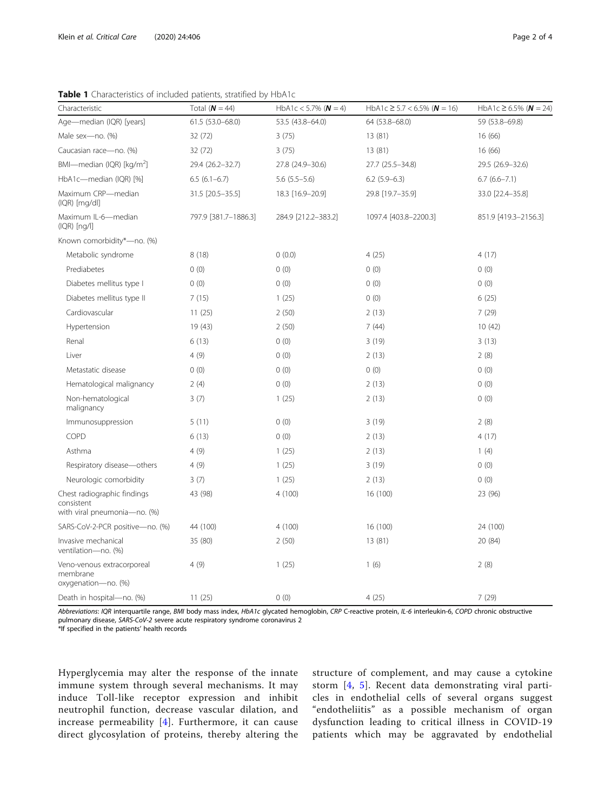| Characteristic                                                            | Total ( $N = 44$ )   | HbA1c < 5.7% ( $N = 4$ ) | HbA1c $\geq$ 5.7 < 6.5% ( $N = 16$ ) | HbA1c $\geq$ 6.5% ( $N = 24$ ) |
|---------------------------------------------------------------------------|----------------------|--------------------------|--------------------------------------|--------------------------------|
| Age-median (IQR) [years]                                                  | 61.5 (53.0-68.0)     | 53.5 (43.8-64.0)         | 64 (53.8-68.0)                       | 59 (53.8-69.8)                 |
| Male sex-no. (%)                                                          | 32 (72)              | 3(75)                    | 13 (81)                              | 16(66)                         |
| Caucasian race-no. (%)                                                    | 32 (72)              | 3(75)                    | 13 (81)                              | 16 (66)                        |
| BMI-median (IQR) [kg/m <sup>2</sup> ]                                     | 29.4 (26.2-32.7)     | 27.8 (24.9-30.6)         | 27.7 (25.5-34.8)                     | 29.5 (26.9-32.6)               |
| HbA1c-median (IQR) [%]                                                    | $6.5(6.1-6.7)$       | $5.6$ $(5.5-5.6)$        | $6.2$ (5.9-6.3)                      | $6.7(6.6 - 7.1)$               |
| Maximum CRP-median<br>$(IQR)$ [mg/dl]                                     | 31.5 [20.5-35.5]     | 18.3 [16.9-20.9]         | 29.8 [19.7-35.9]                     | 33.0 [22.4-35.8]               |
| Maximum IL-6-median<br>$(IQR)$ [ng/l]                                     | 797.9 [381.7-1886.3] | 284.9 [212.2-383.2]      | 1097.4 [403.8-2200.3]                | 851.9 [419.3-2156.3]           |
| Known comorbidity*-no. (%)                                                |                      |                          |                                      |                                |
| Metabolic syndrome                                                        | 8(18)                | 0(0.0)                   | 4(25)                                | 4(17)                          |
| Prediabetes                                                               | 0(0)                 | 0(0)                     | 0(0)                                 | 0(0)                           |
| Diabetes mellitus type I                                                  | 0(0)                 | 0(0)                     | 0(0)                                 | 0(0)                           |
| Diabetes mellitus type II                                                 | 7(15)                | 1(25)                    | 0(0)                                 | 6(25)                          |
| Cardiovascular                                                            | 11(25)               | 2(50)                    | 2(13)                                | 7(29)                          |
| Hypertension                                                              | 19 (43)              | 2(50)                    | 7(44)                                | 10(42)                         |
| Renal                                                                     | 6(13)                | 0(0)                     | 3(19)                                | 3(13)                          |
| Liver                                                                     | 4(9)                 | 0(0)                     | 2(13)                                | 2(8)                           |
| Metastatic disease                                                        | 0(0)                 | 0(0)                     | 0(0)                                 | 0(0)                           |
| Hematological malignancy                                                  | 2(4)                 | 0(0)                     | 2(13)                                | 0(0)                           |
| Non-hematological<br>malignancy                                           | 3(7)                 | 1(25)                    | 2(13)                                | 0(0)                           |
| Immunosuppression                                                         | 5(11)                | 0(0)                     | 3(19)                                | 2(8)                           |
| COPD                                                                      | 6(13)                | 0(0)                     | 2(13)                                | 4(17)                          |
| Asthma                                                                    | 4(9)                 | 1(25)                    | 2(13)                                | 1(4)                           |
| Respiratory disease-others                                                | 4(9)                 | 1(25)                    | 3(19)                                | 0(0)                           |
| Neurologic comorbidity                                                    | 3(7)                 | 1(25)                    | 2(13)                                | 0(0)                           |
| Chest radiographic findings<br>consistent<br>with viral pneumonia-no. (%) | 43 (98)              | 4(100)                   | 16 (100)                             | 23 (96)                        |
| SARS-CoV-2-PCR positive-no. (%)                                           | 44 (100)             | 4(100)                   | 16 (100)                             | 24 (100)                       |
| Invasive mechanical<br>ventilation-no. (%)                                | 35 (80)              | 2(50)                    | 13 (81)                              | 20 (84)                        |
| Veno-venous extracorporeal<br>membrane<br>oxygenation-no. (%)             | 4(9)                 | 1(25)                    | 1(6)                                 | 2(8)                           |
| Death in hospital-no. (%)                                                 | 11(25)               | 0(0)                     | 4(25)                                | 7(29)                          |

<span id="page-1-0"></span>Table 1 Characteristics of included patients, stratified by HbA1c

Abbreviations: IQR interquartile range, BMI body mass index, HbA1c glycated hemoglobin, CRP C-reactive protein, IL-6 interleukin-6, COPD chronic obstructive pulmonary disease, SARS-CoV-2 severe acute respiratory syndrome coronavirus 2

\*If specified in the patients' health records

Hyperglycemia may alter the response of the innate immune system through several mechanisms. It may induce Toll-like receptor expression and inhibit neutrophil function, decrease vascular dilation, and increase permeability [\[4\]](#page-2-0). Furthermore, it can cause direct glycosylation of proteins, thereby altering the structure of complement, and may cause a cytokine storm [[4](#page-2-0), [5\]](#page-3-0). Recent data demonstrating viral particles in endothelial cells of several organs suggest "endotheliitis" as a possible mechanism of organ dysfunction leading to critical illness in COVID-19 patients which may be aggravated by endothelial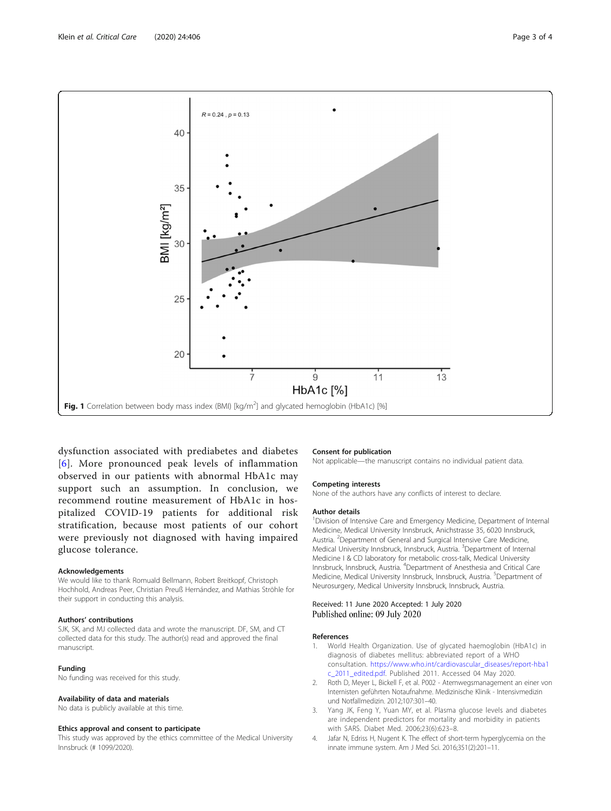<span id="page-2-0"></span>

dysfunction associated with prediabetes and diabetes [[6](#page-3-0)]. More pronounced peak levels of inflammation observed in our patients with abnormal HbA1c may support such an assumption. In conclusion, we recommend routine measurement of HbA1c in hospitalized COVID-19 patients for additional risk stratification, because most patients of our cohort were previously not diagnosed with having impaired glucose tolerance.

#### Acknowledgements

We would like to thank Romuald Bellmann, Robert Breitkopf, Christoph Hochhold, Andreas Peer, Christian Preuß Hernández, and Mathias Ströhle for their support in conducting this analysis.

# Authors' contributions

SJK, SK, and MJ collected data and wrote the manuscript. DF, SM, and CT collected data for this study. The author(s) read and approved the final manuscript.

#### Funding

No funding was received for this study.

#### Availability of data and materials

No data is publicly available at this time.

#### Ethics approval and consent to participate

This study was approved by the ethics committee of the Medical University Innsbruck (# 1099/2020).

### Consent for publication

Not applicable—the manuscript contains no individual patient data.

#### Competing interests

None of the authors have any conflicts of interest to declare.

#### Author details

<sup>1</sup> Division of Intensive Care and Emergency Medicine, Department of Internal Medicine, Medical University Innsbruck, Anichstrasse 35, 6020 Innsbruck, Austria. <sup>2</sup>Department of General and Surgical Intensive Care Medicine, Medical University Innsbruck, Innsbruck, Austria. <sup>3</sup>Department of Internal Medicine I & CD laboratory for metabolic cross-talk, Medical University Innsbruck, Innsbruck, Austria. <sup>4</sup> Department of Anesthesia and Critical Care Medicine, Medical University Innsbruck, Innsbruck, Austria. <sup>5</sup>Department of Neurosurgery, Medical University Innsbruck, Innsbruck, Austria.

### Received: 11 June 2020 Accepted: 1 July 2020 Published online: 09 July 2020

#### References

- World Health Organization. Use of glycated haemoglobin (HbA1c) in diagnosis of diabetes mellitus: abbreviated report of a WHO consultation. [https://www.who.int/cardiovascular\\_diseases/report-hba1](https://www.who.int/cardiovascular_diseases/report-hba1c_2011_edited.pdf) [c\\_2011\\_edited.pdf.](https://www.who.int/cardiovascular_diseases/report-hba1c_2011_edited.pdf) Published 2011. Accessed 04 May 2020.
- 2. Roth D, Meyer L, Bickell F, et al. P002 Atemwegsmanagement an einer von Internisten geführten Notaufnahme. Medizinische Klinik - Intensivmedizin und Notfallmedizin. 2012;107:301–40.
- 3. Yang JK, Feng Y, Yuan MY, et al. Plasma glucose levels and diabetes are independent predictors for mortality and morbidity in patients with SARS. Diabet Med. 2006;23(6):623–8.
- 4. Jafar N, Edriss H, Nugent K. The effect of short-term hyperglycemia on the innate immune system. Am J Med Sci. 2016;351(2):201–11.